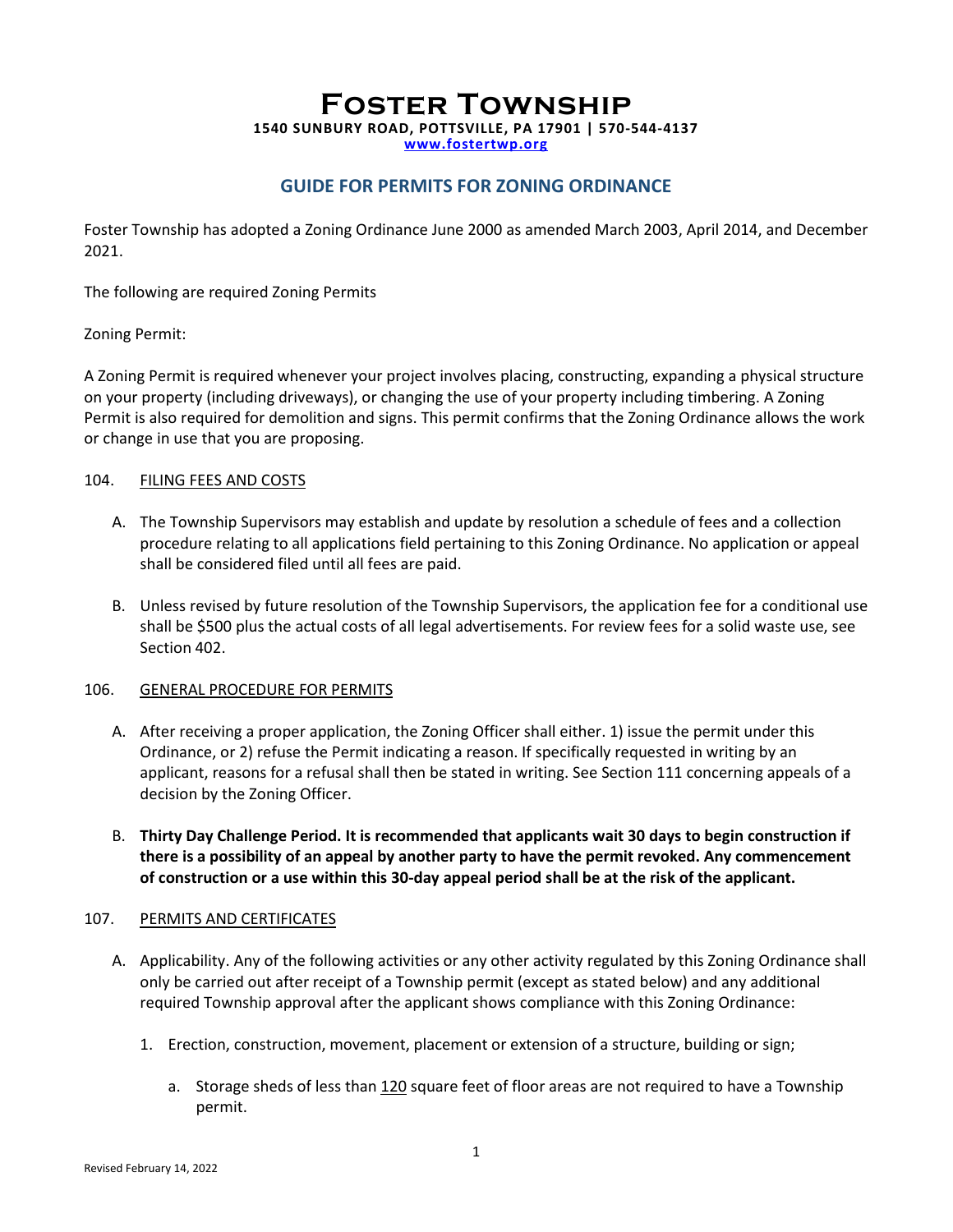## **Foster Township 1540 SUNBURY ROAD, POTTSVILLE, PA 17901 | 570-544-4137 www.fostertwp.org**

### **GUIDE FOR PERMITS FOR ZONING ORDINANCE**

Foster Township has adopted a Zoning Ordinance June 2000 as amended March 2003, April 2014, and December 2021.

The following are required Zoning Permits

#### Zoning Permit:

A Zoning Permit is required whenever your project involves placing, constructing, expanding a physical structure on your property (including driveways), or changing the use of your property including timbering. A Zoning Permit is also required for demolition and signs. This permit confirms that the Zoning Ordinance allows the work or change in use that you are proposing.

#### 104. FILING FEES AND COSTS

- A. The Township Supervisors may establish and update by resolution a schedule of fees and a collection procedure relating to all applications field pertaining to this Zoning Ordinance. No application or appeal shall be considered filed until all fees are paid.
- B. Unless revised by future resolution of the Township Supervisors, the application fee for a conditional use shall be \$500 plus the actual costs of all legal advertisements. For review fees for a solid waste use, see Section 402.

#### 106. GENERAL PROCEDURE FOR PERMITS

- A. After receiving a proper application, the Zoning Officer shall either. 1) issue the permit under this Ordinance, or 2) refuse the Permit indicating a reason. If specifically requested in writing by an applicant, reasons for a refusal shall then be stated in writing. See Section 111 concerning appeals of a decision by the Zoning Officer.
- B. **Thirty Day Challenge Period. It is recommended that applicants wait 30 days to begin construction if there is a possibility of an appeal by another party to have the permit revoked. Any commencement of construction or a use within this 30-day appeal period shall be at the risk of the applicant.**

#### 107. PERMITS AND CERTIFICATES

- A. Applicability. Any of the following activities or any other activity regulated by this Zoning Ordinance shall only be carried out after receipt of a Township permit (except as stated below) and any additional required Township approval after the applicant shows compliance with this Zoning Ordinance:
	- 1. Erection, construction, movement, placement or extension of a structure, building or sign;
		- a. Storage sheds of less than 120 square feet of floor areas are not required to have a Township permit.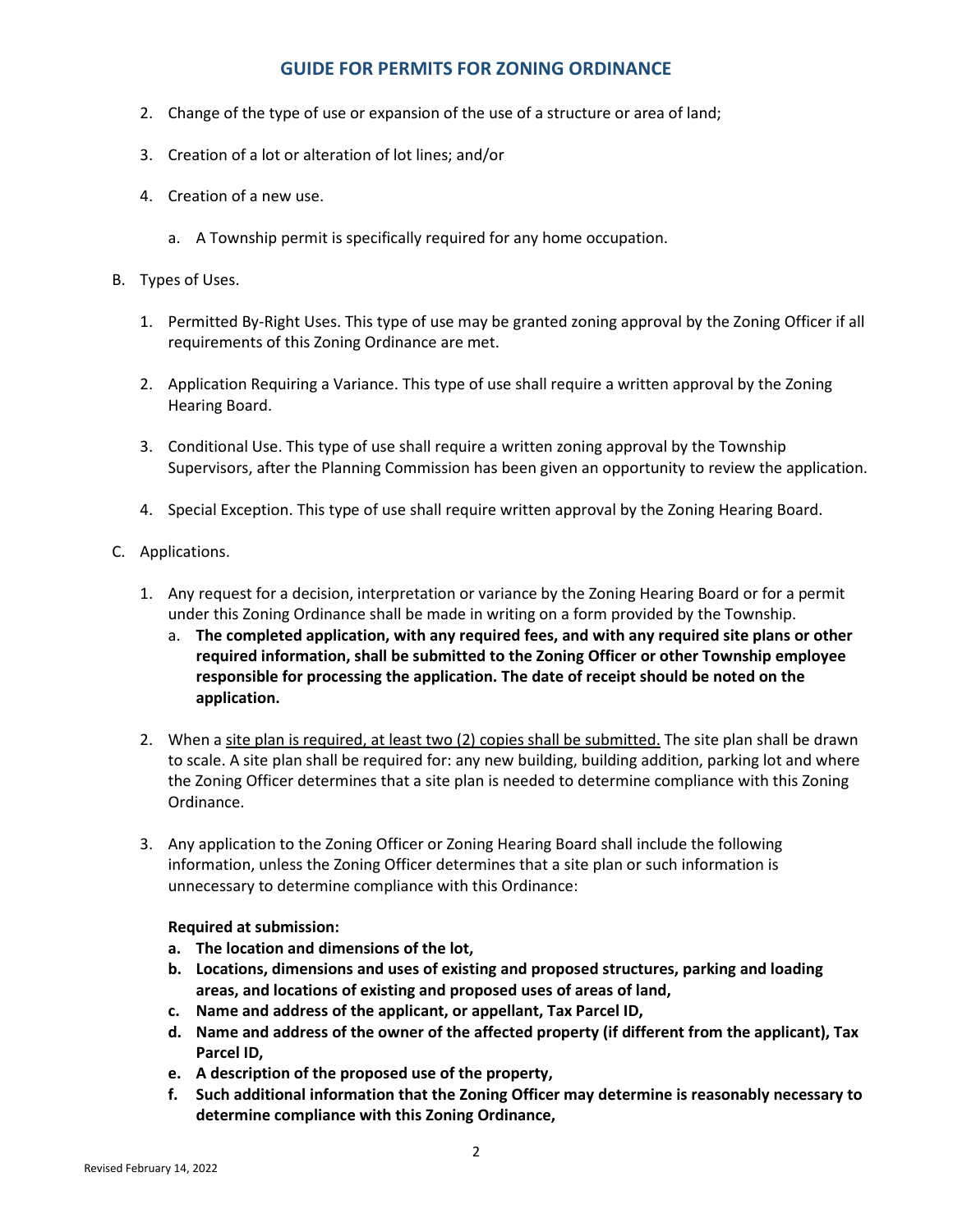## **GUIDE FOR PERMITS FOR ZONING ORDINANCE**

- 2. Change of the type of use or expansion of the use of a structure or area of land;
- 3. Creation of a lot or alteration of lot lines; and/or
- 4. Creation of a new use.
	- a. A Township permit is specifically required for any home occupation.
- B. Types of Uses.
	- 1. Permitted By-Right Uses. This type of use may be granted zoning approval by the Zoning Officer if all requirements of this Zoning Ordinance are met.
	- 2. Application Requiring a Variance. This type of use shall require a written approval by the Zoning Hearing Board.
	- 3. Conditional Use. This type of use shall require a written zoning approval by the Township Supervisors, after the Planning Commission has been given an opportunity to review the application.
	- 4. Special Exception. This type of use shall require written approval by the Zoning Hearing Board.
- C. Applications.
	- 1. Any request for a decision, interpretation or variance by the Zoning Hearing Board or for a permit under this Zoning Ordinance shall be made in writing on a form provided by the Township.
		- a. **The completed application, with any required fees, and with any required site plans or other required information, shall be submitted to the Zoning Officer or other Township employee responsible for processing the application. The date of receipt should be noted on the application.**
	- 2. When a site plan is required, at least two (2) copies shall be submitted. The site plan shall be drawn to scale. A site plan shall be required for: any new building, building addition, parking lot and where the Zoning Officer determines that a site plan is needed to determine compliance with this Zoning Ordinance.
	- 3. Any application to the Zoning Officer or Zoning Hearing Board shall include the following information, unless the Zoning Officer determines that a site plan or such information is unnecessary to determine compliance with this Ordinance:

#### **Required at submission:**

- **a. The location and dimensions of the lot,**
- **b. Locations, dimensions and uses of existing and proposed structures, parking and loading areas, and locations of existing and proposed uses of areas of land,**
- **c. Name and address of the applicant, or appellant, Tax Parcel ID,**
- **d. Name and address of the owner of the affected property (if different from the applicant), Tax Parcel ID,**
- **e. A description of the proposed use of the property,**
- **f. Such additional information that the Zoning Officer may determine is reasonably necessary to determine compliance with this Zoning Ordinance,**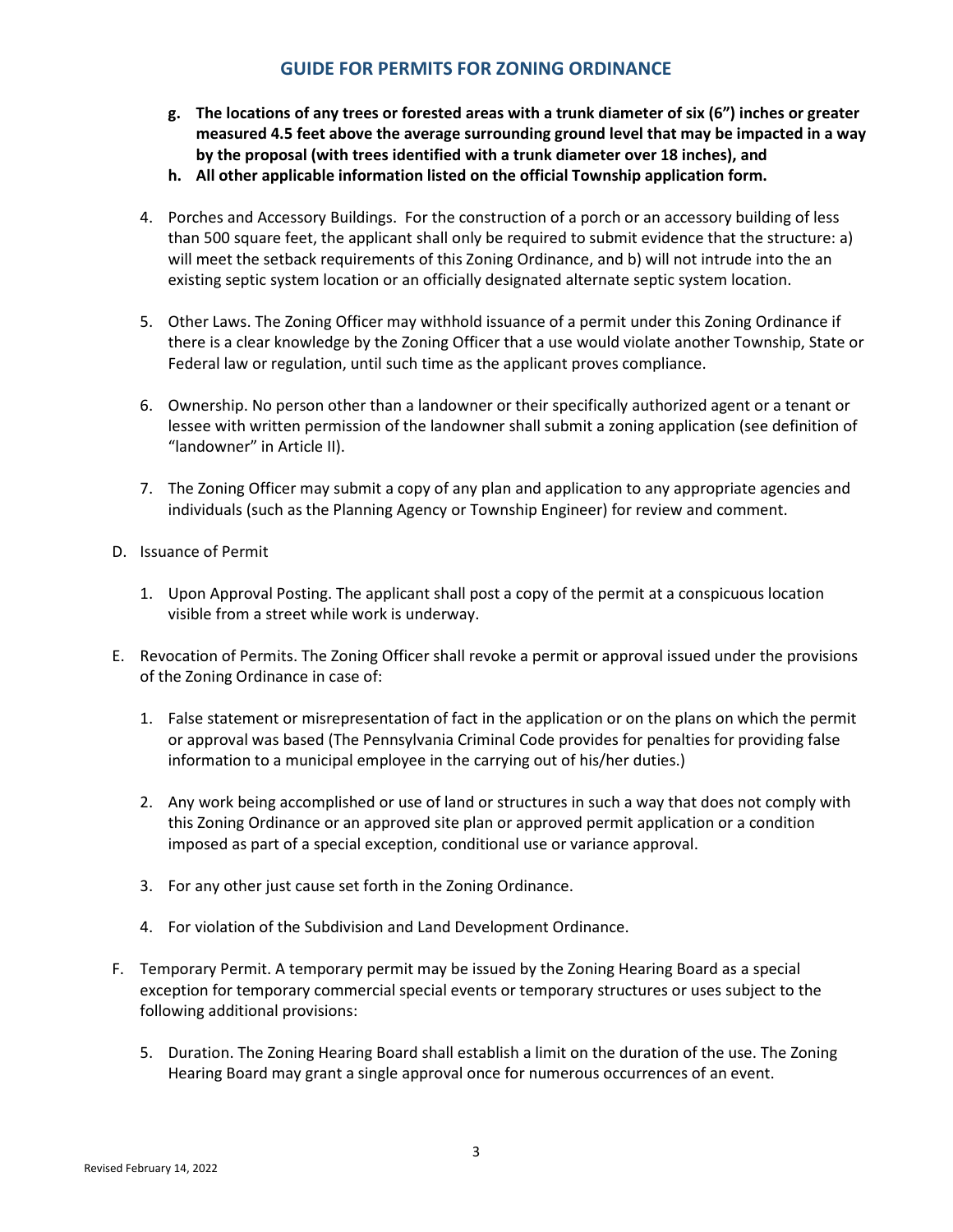# **GUIDE FOR PERMITS FOR ZONING ORDINANCE**

- **g. The locations of any trees or forested areas with a trunk diameter of six (6") inches or greater measured 4.5 feet above the average surrounding ground level that may be impacted in a way by the proposal (with trees identified with a trunk diameter over 18 inches), and**
- **h. All other applicable information listed on the official Township application form.**
- 4. Porches and Accessory Buildings. For the construction of a porch or an accessory building of less than 500 square feet, the applicant shall only be required to submit evidence that the structure: a) will meet the setback requirements of this Zoning Ordinance, and b) will not intrude into the an existing septic system location or an officially designated alternate septic system location.
- 5. Other Laws. The Zoning Officer may withhold issuance of a permit under this Zoning Ordinance if there is a clear knowledge by the Zoning Officer that a use would violate another Township, State or Federal law or regulation, until such time as the applicant proves compliance.
- 6. Ownership. No person other than a landowner or their specifically authorized agent or a tenant or lessee with written permission of the landowner shall submit a zoning application (see definition of "landowner" in Article II).
- 7. The Zoning Officer may submit a copy of any plan and application to any appropriate agencies and individuals (such as the Planning Agency or Township Engineer) for review and comment.
- D. Issuance of Permit
	- 1. Upon Approval Posting. The applicant shall post a copy of the permit at a conspicuous location visible from a street while work is underway.
- E. Revocation of Permits. The Zoning Officer shall revoke a permit or approval issued under the provisions of the Zoning Ordinance in case of:
	- 1. False statement or misrepresentation of fact in the application or on the plans on which the permit or approval was based (The Pennsylvania Criminal Code provides for penalties for providing false information to a municipal employee in the carrying out of his/her duties.)
	- 2. Any work being accomplished or use of land or structures in such a way that does not comply with this Zoning Ordinance or an approved site plan or approved permit application or a condition imposed as part of a special exception, conditional use or variance approval.
	- 3. For any other just cause set forth in the Zoning Ordinance.
	- 4. For violation of the Subdivision and Land Development Ordinance.
- F. Temporary Permit. A temporary permit may be issued by the Zoning Hearing Board as a special exception for temporary commercial special events or temporary structures or uses subject to the following additional provisions:
	- 5. Duration. The Zoning Hearing Board shall establish a limit on the duration of the use. The Zoning Hearing Board may grant a single approval once for numerous occurrences of an event.